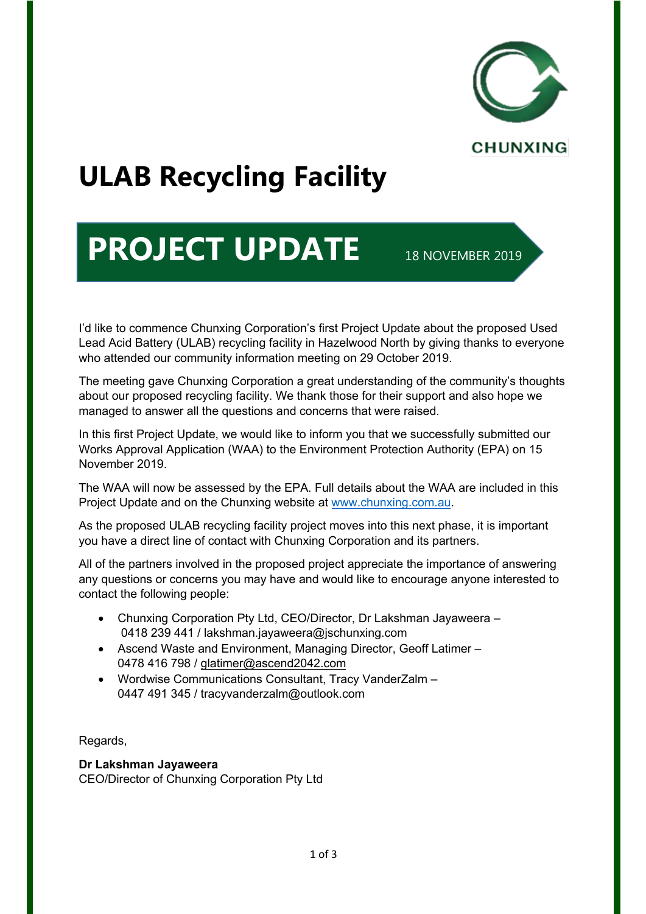

# **ULAB Recycling Facility**

## **PROJECT UPDATE 18 NOVEMBER 2019**

I'd like to commence Chunxing Corporation's first Project Update about the proposed Used Lead Acid Battery (ULAB) recycling facility in Hazelwood North by giving thanks to everyone who attended our community information meeting on 29 October 2019.

The meeting gave Chunxing Corporation a great understanding of the community's thoughts about our proposed recycling facility. We thank those for their support and also hope we managed to answer all the questions and concerns that were raised.

In this first Project Update, we would like to inform you that we successfully submitted our Works Approval Application (WAA) to the Environment Protection Authority (EPA) on 15 November 2019.

The WAA will now be assessed by the EPA. Full details about the WAA are included in this Project Update and on the Chunxing website at www.chunxing.com.au.

As the proposed ULAB recycling facility project moves into this next phase, it is important you have a direct line of contact with Chunxing Corporation and its partners.

All of the partners involved in the proposed project appreciate the importance of answering any questions or concerns you may have and would like to encourage anyone interested to contact the following people:

- Chunxing Corporation Pty Ltd, CEO/Director, Dr Lakshman Jayaweera 0418 239 441 / lakshman.jayaweera@jschunxing.com
- Ascend Waste and Environment, Managing Director, Geoff Latimer 0478 416 798 / glatimer@ascend2042.com
- Wordwise Communications Consultant, Tracy VanderZalm 0447 491 345 / tracyvanderzalm@outlook.com

Regards,

#### **Dr Lakshman Jayaweera**

CEO/Director of Chunxing Corporation Pty Ltd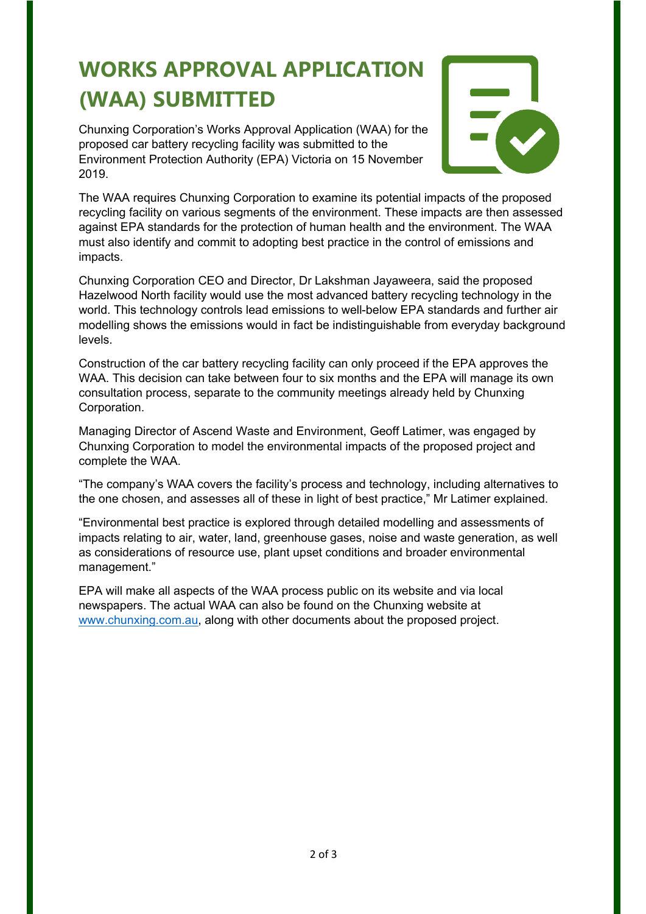### **WORKS APPROVAL APPLICATION (WAA) SUBMITTED**

Chunxing Corporation's Works Approval Application (WAA) for the proposed car battery recycling facility was submitted to the Environment Protection Authority (EPA) Victoria on 15 November 2019.



The WAA requires Chunxing Corporation to examine its potential impacts of the proposed recycling facility on various segments of the environment. These impacts are then assessed against EPA standards for the protection of human health and the environment. The WAA must also identify and commit to adopting best practice in the control of emissions and impacts.

Chunxing Corporation CEO and Director, Dr Lakshman Jayaweera, said the proposed Hazelwood North facility would use the most advanced battery recycling technology in the world. This technology controls lead emissions to well-below EPA standards and further air modelling shows the emissions would in fact be indistinguishable from everyday background levels.

Construction of the car battery recycling facility can only proceed if the EPA approves the WAA. This decision can take between four to six months and the EPA will manage its own consultation process, separate to the community meetings already held by Chunxing Corporation.

Managing Director of Ascend Waste and Environment, Geoff Latimer, was engaged by Chunxing Corporation to model the environmental impacts of the proposed project and complete the WAA.

"The company's WAA covers the facility's process and technology, including alternatives to the one chosen, and assesses all of these in light of best practice," Mr Latimer explained.

"Environmental best practice is explored through detailed modelling and assessments of impacts relating to air, water, land, greenhouse gases, noise and waste generation, as well as considerations of resource use, plant upset conditions and broader environmental management."

EPA will make all aspects of the WAA process public on its website and via local newspapers. The actual WAA can also be found on the Chunxing website at www.chunxing.com.au, along with other documents about the proposed project.